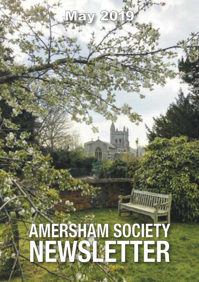# **AMERSHAM SOCIETY NEWSLETTER**

**May 2019**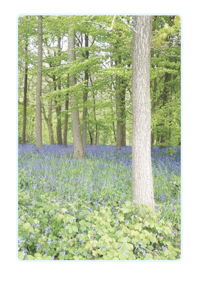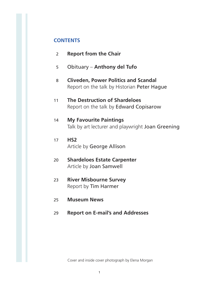#### **CONTENTS**

- 02 **Report from the Chair**
- 05 Obituary **Anthony del Tufo**
- 08 **Cliveden, Power Politics and Scandal** Report on the talk by Historian Peter Hague
- 11 **The Destruction of Shardeloes** Report on the talk by Edward Copisarow
- 14 **My Favourite Paintings** Talk by art lecturer and playwright Joan Greening
- 17 **HS2** Article by George Allison
- 20 **Shardeloes Estate Carpenter** Article by Joan Samwell
- 23 **River Misbourne Survey** Report by Tim Harmer
- 25 **Museum News**
- 29 **Report on E-mail's and Addresses**

Cover and inside cover photograph by Elena Morgan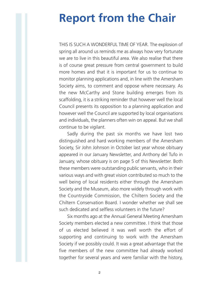### **Report from the Chair**

THIS IS SUCH A WONDERFUL TIME OF YEAR. The explosion of spring all around us reminds me as always how very fortunate we are to live in this beautiful area. We also realise that there is of course great pressure from central government to build more homes and that it is important for us to continue to monitor planning applications and, in line with the Amersham Society aims, to comment and oppose where necessary. As the new McCarthy and Stone building emerges from its scaffolding, it is a striking reminder that however well the local Council presents its opposition to a planning application and however well the Council are supported by local organisations and individuals, the planners often win on appeal. But we shall continue to be vigilant.

 Sadly during the past six months we have lost two distinguished and hard working members of the Amersham Society, Sir John Johnson in October last year whose obituary appeared in our January Newsletter, and Anthony del Tufo in January, whose obituary is on page 5 of this Newsletter. Both these members were outstanding public servants, who in their various ways and with great vision contributed so much to the well being of local residents either through the Amersham Society and the Museum, also more widely through work with the Countryside Commission, the Chiltern Society and the Chiltern Conservation Board. I wonder whether we shall see such dedicated and selfless volunteers in the future?

 Six months ago at the Annual General Meeting Amersham Society members elected a new committee. I think that those of us elected believed it was well worth the effort of supporting and continuing to work with the Amersham Society if we possibly could. It was a great advantage that the five members of the new committee had already worked together for several years and were familiar with the history,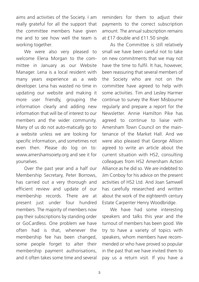aims and activities of the Society. I am really grateful for all the support that the committee members have given me and to see how well the team is working together.

 We were also very pleased to welcome Elena Morgan to the committee in January as our Website Manager. Lena is a local resident with many years experience as a web developer. Lena has wasted no time in updating our website and making it more user friendly, grouping the information clearly and adding new information that will be of interest to our members and the wider community. Many of us do not auto-matically go to a website unless we are looking for specific information, and sometimes not even then. Please do log on to: www.amershamsoiety.org and see it for yourselves.

 Over the past year and a half our Membership Secretary, Peter Borrows, has carried out a very thorough and efficient review and update of our membership records. There are at present just under four hundred members. The majority of members now pay their subscriptions by standing order or GoCardless. One problem we have often had is that, whenever the membership fee has been changed, some people forget to alter their membership payment authorisations, and it often takes some time and several

reminders for them to adjust their payments to the correct subscription amount. The annual subscription remains at £17 double and £11.50 single.

 As the Committee is still relatively small we have been careful not to take on new commitments that we may not have the time to fulfil. It has, however, been reassuring that several members of the Society who are not on the committee have agreed to help with some activities. Tim and Lesley Harmer continue to survey the River Misbourne regularly and prepare a report for the Newsletter. Annie Hamilton Pike has agreed to continue to liaise with Amersham Town Council on the maintenance of the Market Hall. And we were also pleased that George Allison agreed to write an article about the current situation with HS2, consulting colleagues from HS2 Amersham Action Alliance as he did so. We are indebted to Jim Conboy for his advice on the present activities of HS2 Ltd. And Joan Samwell has carefully researched and written about the work of the eighteenth century Estate Carpenter Henry Woodbridge.

 We have had some interesting speakers and talks this year and the turnout of members has been good. We try to have a variety of topics with speakers, whom members have recommended or who have proved so popular in the past that we have invited them to pay us a return visit. If you have a

3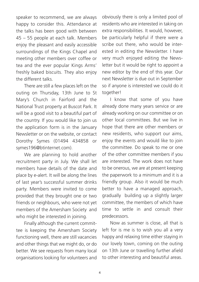speaker to recommend, we are always happy to consider this. Attendance at the talks has been good with between 45 – 55 people at each talk. Members enjoy the pleasant and easily accessible surroundings of the Kings Chapel and meeting other members over coffee or tea and the ever popular Kings Arms' freshly baked biscuits. They also enjoy the different talks.

 There are still a few places left on the outing on Thursday, 13th June to St Mary's Church in Fairford and the National Trust property at Buscot Park. It will be a good visit to a beautiful part of the country. If you would like to join us the application form is in the January Newsletter or on the website, or contact Dorothy Symes (01494 434858 or symes196@btinternet.com).

 We are planning to hold another recruitment party in July. We shall let members have details of the date and place by e-alert. It will be along the lines of last year's successful summer drinks party. Members were invited to come provided that they brought one or two friends or neighbours, who were not yet members of the Amersham Society and who might be interested in joining.

 Finally although the current committee is keeping the Amersham Society functioning well, there are still vacancies and other things that we might do, or do better. We see requests from many local organisations looking for volunteers and

obviously there is only a limited pool of residents who are interested in taking on extra responsibilities. It would, however, be particularly helpful if there were a scribe out there, who would be interested in editing the Newsletter. I have very much enjoyed editing the Newsletter but it would be right to appoint a new editor by the end of this year. Our next Newsletter is due out in September so if anyone is interested we could do it together!

 I know that some of you have already done many years service or are already working on our committee or on other local committees. But we live in hope that there are other members or new residents, who support our aims, enjoy the events and would like to join the committee. Do speak to me or one of the other committee members if you are interested. The work does not have to be onerous, we are at present keeping the paperwork to a minimum and it is a friendly group. Also it would be much better to have a managed approach, gradually building up a slightly larger committee, the members of which have time to settle in and consult their predecessors.

 Now as summer is close, all that is left for is me is to wish you all a very happy and relaxing time either staying in our lovely town, coming on the outing on 13th June or travelling further afield to other interesting and beautiful areas.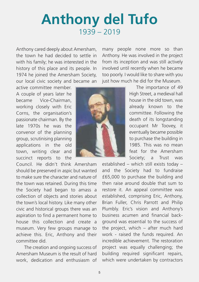### **Anthony del Tufo** 1939 – 2019

Anthony cared deeply about Amersham, the town he had decided to settle in with his family; he was interested in the history of this place and its people. In 1974 he joined the Amersham Society, our local civic society and became an many people none more so than Anthony. He was involved in the project from its inception and was still actively involved until recently when he became too poorly. I would like to share with you just how much he did for the Museum.

active committee member. A couple of years later he became Vice-Chairman, working closely with Eric Corns, the organisation's passionate chairman. By the late 1970s he was the convenor of the planning group, scrutinising planning applications in the old town, writing clear and succinct reports to the

Council. He didn't think Amersham should be preserved in aspic but wanted to make sure the character and nature of the town was retained. During this time the Society had began to amass a collection of objects and stories about the town's local history. Like many other civic and historical groups there was an aspiration to find a permanent home to house this collection and create a museum. Very few groups manage to achieve this. Eric, Anthony and their committee did.

 The creation and ongoing success of Amersham Museum is the result of hard work, dedication and enthusiasm of



The importance of 49 High Street, a medieval hall house in the old town, was already known to the committee. Following the death of its longstanding occupant Mr Toovey, it eventually became possible to purchase the building in 1985. This was no mean feat for the Amersham Society; a Trust was

established – which still exists today – and the Society had to fundraise £65,000 to purchase the building and then raise around double that sum to restore it. An appeal committee was established, comprising Eric, Anthony, Brian Fuller, Chris Parrott and Philip Plumbly. Eric's vision and Anthony's business acumen and financial background was essential to the success of the project, which – after much hard work - raised the funds required. An incredible achievement. The restoration project was equally challenging; the building required significant repairs, which were undertaken by contractors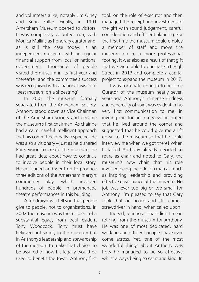and volunteers alike, notably Jim Olney and Brian Fuller. Finally, in 1991 Amersham Museum opened to visitors. It was completely volunteer run, with Monica Mullins as honorary curator and, as is still the case today, is an independent museum, with no regular financial support from local or national government. Thousands of people visited the museum in its first year and thereafter and the committee's success was recognised with a national award of 'best museum on a shoestring'.

 In 2001 the museum formally separated from the Amersham Society. Anthony stood down as Vice Chairman of the Amersham Society and became the museum's first chairman. As chair he had a calm, careful intelligent approach that his committee greatly respected. He was also a visionary – just as he'd shared Eric's vision to create the museum, he had great ideas about how to continue to involve people in their local story. He envisaged and went on to produce three editions of the Amersham martyrs community play, which involved hundreds of people in promenade theatre performances in this building.

 A fundraiser will tell you that people give to people, not to organisations. In 2002 the museum was the recipient of a substantial legacy from local resident Tony Woodcock. Tony must have believed not simply in the museum but in Anthony's leadership and stewardship of the museum to make that choice, to be assured of how his legacy would be used to benefit the town. Anthony first

took on the role of executor and then managed the receipt and investment of the gift with sound judgement, careful consideration and efficient planning. For the first time the museum could employ a member of staff and move the museum on to a more professional footing. It was also as a result of that gift that we were able to purchase 51 High Street in 2013 and complete a capital project to expand the museum in 2017.

 I was fortunate enough to become Curator of the museum nearly seven years ago. Anthony's immense kindness and generosity of spirit was evident in his very first communication to me; in inviting me for an interview he noted that he lived around the corner and suggested that he could give me a lift down to the museum so that he could interview me when we got there! When I started Anthony already decided to retire as chair and noted to Gary, the museum's new chair, that his role involved being the odd job man as much as inspiring leadership and providing effective governance of the museum. No job was ever too big or too small for Anthony. I'm pleased to say that Gary took that on board and still comes, screwdriver in hand, when called upon.

 Indeed, retiring as chair didn't mean retiring from the museum for Anthony. He was one of most dedicated, hard working and efficient people I have ever come across. Yet, one of the most wonderful things about Anthony was how he managed to be so effective whilst always being so calm and kind. In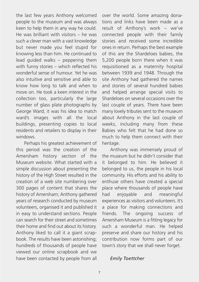the last few years Anthony welcomed people to the museum and was always keen to help them in any way he could. He was brilliant with visitors – he was such a clever man with a vast knowledge but never made you feel stupid for knowing less than him. He continued to lead guided walks – peppering them with funny stories – which reflected his wonderful sense of humour. Yet he was also intuitive and sensitive and able to know how long to talk and when to move on. He took a keen interest in the collection too, particularly the large number of glass plate photographs by George Ward; it was his idea to match ward's images with all the local buildings, presenting copies to local residents and retailers to display in their windows.

 Perhaps his greatest achievement of this period was the creation of the Amersham history section of the Museum website. What started with a simple discussion about presenting the history of the High Street resulted in the creation of a web site numbering over 300 pages of content that shares the history of Amersham; Anthony gathered years of research conducted by museum volunteers, organised it and published it in easy to understand sections. People can search for their street and sometimes their home and find out about its history. Anthony liked to call it a giant scrapbook. The results have been astonishing; hundreds of thousands of people have viewed our online scrapbook and we have been contacted by people from all

over the world. Some amazing donations and links have been made as a result of Anthony's work – we've connected people with their family stories and received some incredible ones in return. Perhaps the best example of this are the Shardeloes babies, the 5,200 people born there when it was requisitioned as a maternity hospital between 1939 and 1948. Through the site Anthony had gathered the names and stories of several hundred babies and helped arrange special visits to Shardeloes on several occasions over the last couple of years. There have been many lovely tributes sent to the museum about Anthony in the last couple of weeks, including many from these Babies who felt that he had done so much to help them connect with their heritage.

 Anthony was immensely proud of the museum but he didn't consider that it belonged to him. He believed it belonged to us, the people in his local community. His efforts and his ability to enthuse others have created a special place where thousands of people have had enjoyable and meaningful experiences as visitors and volunteers. It's a place for making connections and friends. The ongoing success of Amersham Museum is a fitting legacy for such a wonderful man. He helped preserve and share our history and his contribution now forms part of our town's story that we shall never forget.

#### *Emily Toettcher*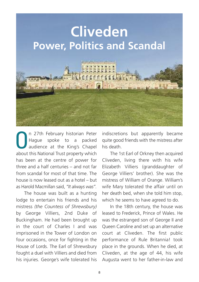

On 27th February historian Peter<br>Hague spoke to a packed<br>audience at the King's Chapel Hague spoke to a packed audience at the King's Chapel about this National Trust property which has been at the centre of power for three and a half centuries – and not far from scandal for most of that time. The house is now leased out as a hotel – but as Harold Macmillan said, *"It always was".*

 The house was built as a hunting lodge to entertain his friends and his mistress *(the Countess of Shrewsbury)* by George Villiers, 2nd Duke of Buckingham. He had been brought up in the court of Charles I and was imprisoned in the Tower of London on four occasions, once for fighting in the House of Lords. The Earl of Shrewsbury fought a duel with Villiers and died from his injuries. George's wife tolerated his indiscretions but apparently became quite good friends with the mistress after his death.

 The 1st Earl of Orkney then acquired Cliveden, living there with his wife Elizabeth Villiers (granddaughter of George Villiers' brother). She was the mistress of William of Orange. William's wife Mary tolerated the affair until on her death bed, when she told him stop, which he seems to have agreed to do.

 In the 18th century, the house was leased to Frederick, Prince of Wales. He was the estranged son of George II and Queen Caroline and set up an alternative court at Cliveden. The first public performance of Rule Britannia! took place in the grounds. When he died, at Cliveden, at the age of 44, his wife Augusta went to her father-in-law and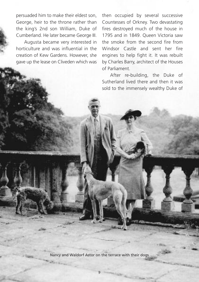persuaded him to make their eldest son, George, heir to the throne rather than the king's 2nd son William, Duke of Cumberland. He later became George III.

 Augusta became very interested in horticulture and was influential in the creation of Kew Gardens. However, she gave up the lease on Cliveden which was

then occupied by several successive Countesses of Orkney. Two devastating fires destroyed much of the house in 1795 and in 1849. Queen Victoria saw the smoke from the second fire from Windsor Castle and sent her fire engines to help fight it. It was rebuilt by Charles Barry, architect of the Houses of Parliament.

 After re-building, the Duke of Sutherland lived there and then it was sold to the immensely wealthy Duke of

Nancy and Waldorf Astor on the terrace with their dogs

9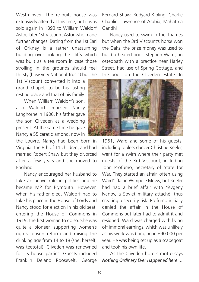Westminster. The re-built house was extensively altered at this time, but it was sold again in 1893 to William Waldorf Astor, later 1st Viscount Astor who made further changes. Dating from the 1st Earl of Orkney is a rather unassuming building over-looking the cliffs which was built as a tea room in case those strolling in the grounds should feel thirsty (how very National Trust!) but the

1st Viscount converted it into a grand chapel, to be his lasting resting place and that of his family.

 When William Waldorf's son, also Waldorf, married Nancy Langhorne in 1906, his father gave the son Cliveden as a wedding present. At the same time he gave Nancy a 55 carat diamond, now in

the Louvre. Nancy had been born in Virginia, the 8th of 11 children, and had married Robert Shaw but they divorced after a few years and she moved to England.

 Nancy encouraged her husband to take an active role in politics and he became MP for Plymouth. However, when his father died, Waldorf had to take his place in the House of Lords and Nancy stood for election in his old seat, entering the House of Commons in 1919, the first woman to do so. She was quite a pioneer, supporting women's rights, prison reform and raising the drinking age from 14 to 18 (she, herself, was teetotal). Cliveden was renowned for its house parties. Guests included Franklin Delano Roosevelt, George Bernard Shaw, Rudyard Kipling, Charlie Chaplin, Lawrence of Arabia, Mahatma Gandhi

 Nancy used to swim in the Thames but when the 3rd Viscount's horse won the Oaks, the prize money was used to build a heated pool. Stephen Ward, an osteopath with a practice near Harley Street, had use of Spring Cottage, and the pool, on the Cliveden estate. In



1961, Ward and some of his guests, including topless dancer Christine Keeler, went for a swim where their party met guests of the 3rd Viscount, including John Profumo, Secretary of State for War. They started an affair, often using Ward's flat in Wimpole Mews, but Keeler had had a brief affair with Yevgeny Ivanov, a Soviet military attaché, thus creating a security risk. Profumo initially denied the affair in the House of Commons but later had to admit it and resigned. Ward was charged with living off immoral earnings, which was unlikely as his work was bringing in £90 000 per year. He was being set up as a scapegoat and took his own life.

 As the Cliveden hotel's motto says *Nothing Ordinary Ever Happened here …*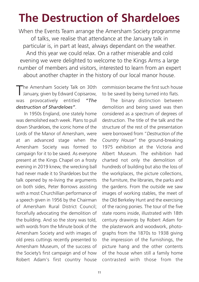# **The Destruction of Shardeloes**

When the Events Team arrange the Amersham Society programme of talks, we realise that attendance at the January talk in particular is, in part at least, always dependant on the weather. And this year we could relax. On a rather miserable and cold evening we were delighted to welcome to the Kings Arms a large number of members and visitors, interested to learn from an expert about another chapter in the history of our local manor house.

The Amersham Society Talk on 30th<br>January, given by Edward Copisarow,<br>was provocatively entitled "The January, given by Edward Copisarow, provocatively entitled *destruction of Shardeloes"*.

 In 1950s England, one stately home was demolished each week. Plans to pull down Shardeloes, the iconic home of the Lords of the Manor of Amersham, were at an advanced stage when the Amersham Society was formed to campaign for it to be saved. As everyone present at the Kings Chapel on a frosty evening in 2019 knew, the wrecking ball had never made it to Shardeloes but the talk opened by re-living the arguments on both sides, Peter Borrows assisting with a most Churchillian performance of a speech given in 1956 by the Chairman of Amersham Rural District Council; forcefully advocating the demolition of the building. And so the story was told, with words from the Minute book of the Amersham Society and with images of old press cuttings recently presented to Amersham Museum, of the success of the Society's first campaign and of how Robert Adam's first country house commission became the first such house to be saved by being turned into flats.

 The binary distinction between demolition and being saved was then considered as a spectrum of degrees of destruction. The title of the talk and the structure of the rest of the presentation were borrowed from "*Destruction of the Country House"* the ground-breaking 1975 exhibition at the Victoria and Albert Museum. The exhibition had charted not only the demolition of hundreds of building but also the loss of the workplaces, the picture collections, the furniture, the libraries, the parks and the gardens. From the outside we saw images of working stables, the meet of the Old Berkeley Hunt and the exercising of the racing ponies. The tour of the five state rooms inside, illustrated with 18th century drawings by Robert Adam for the plasterwork and woodwork, photographs from the 1870s to 1938 giving the impression of the furnishings, the picture hang and the other contents of the house when still a family home contrasted with those from the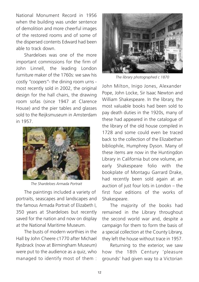National Monument Record in 1956 when the building was under sentence of demolition and more cheerful images of the restored rooms and of some of the dispersed contents Edward had been able to track down.

 Shardeloes was one of the more important commissions for the firm of John Linnell, the leading London furniture maker of the 1760s: we saw his costly *"coopers"*- the dining room urns most recently sold in 2002, the original design for the hall chairs, the drawing room sofas (since 1947 at Clarence House) and the pier tables and glasses sold to the Reijksmuseum in Amsterdam in 1957.



*The Shardeloes Armada Portrait*

 The paintings included a variety of portraits, seascapes and landscapes and the famous Armada Portrait of Elizabeth I, 350 years at Shardeloes but recently saved for the nation and now on display at the National Maritime Museum.

 The busts of modern worthies in the Hall by John Cheere c1770 after Michael Rysbrack (now at Birmingham Museum) were put to the audience as a quiz, who managed to identify most of them :



*The library photographed c 1870*

John Milton, Inigo Jones, Alexander Pope, John Locke, Sir Isaac Newton and William Shakespeare. In the library, the most valuable books had been sold to pay death duties in the 1920s, many of these had appeared in the catalogue of the library of the old house compiled in 1728 and some could even be traced back to the collection of the Elizabethan bibliophile, Humphrey Dyson. Many of these items are now in the Huntingdon Library in California but one volume, an early Shakespeare folio with the bookplate of Montagu Garrard Drake, had recently been sold again at an auction of just four lots in London – the first four editions of the works of Shakespeare.

 The majority of the books had remained in the Library throughout the second world war and, despite a campaign for them to form the basis of a special collection at the County Library, they left the house without trace in 1957.

 Returning to the exterior, we saw how the 18th Century 'pleasure grounds' had given way to a Victorian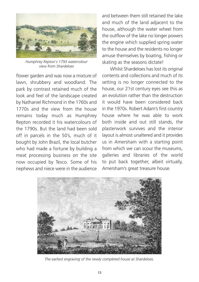

*Humphrey Repton's 1793 watercolour view from Shardeloes*

flower garden and was now a mixture of lawn, shrubbery and woodland. The park by contrast retained much of the look and feel of the landscape created by Nathaniel Richmond in the 1760s and 1770s and the view from the house remains today much as Humphrey Repton recorded it his watercolours of the 1790s. But the land had been sold off in parcels in the 50's, much of it bought by John Brazil, the local butcher who had made a fortune by building a meat processing business on the site now occupied by Tesco. Some of his nephews and niece were in the audience

and between them still retained the lake and much of the land adjacent to the house, although the water wheel from the outflow of the lake no longer powers the engine which supplied spring water to the house and the residents no longer amuse themselves by boating, fishing or skating as the seasons dictate!

 Whilst Shardeloes has lost its original contents and collections and much of its setting is no longer connected to the house, our 21st century eyes see this as an evolution rather than the destruction it would have been considered back in the 1970s. Robert Adam's first country house where he was able to work both inside and out still stands, the plasterwork survives and the interior layout is almost unaltered and it provides us in Amersham with a starting point from which we can scour the museums, galleries and libraries of the world to put back together, albeit virtually, Amersham's great treasure house.



*The earliest engraving of the newly completed house at Shardeloes.*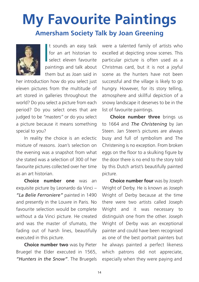### **My Favourite Paintings Amersham Society Talk by Joan Greening**



I<br>I<br>I<br>I t sounds an easy task for an art historian to select eleven favourite paintings and talk about them but as Joan said in

her introduction how do you select just eleven pictures from the multitude of art stored in galleries throughout the world? Do you select a picture from each period? Do you select ones that are judged to be *"masters"* or do you select a picture because it means something special to you?

 In reality the choice is an eclectic mixture of reasons. Joan's selection on the evening was a snapshot from what she stated was a selection of 300 of her favourite pictures collected over her time as an art historian.

 **Choice number one** was an exquisite picture by Leonardo da Vinci – *"La Belie Ferroniere"* painted in 1490 and presently in the Louvre in Paris. No favourite selection would be complete without a da Vinci picture. He created and was the master of sfumato, the fading out of harsh lines, beautifully executed in this picture.

 **Choice number two** was by Pieter Bruegel the Elder executed in 1565, *"Hunters in the Snow"*. The Bruegels

were a talented family of artists who excelled at depicting snow scenes. This particular picture is often used as a Christmas card, but it is not a joyful scene as the hunters have not been successful and the village is likely to go hungry. However, for its story telling, atmosphere and skillful depiction of a snowy landscape it deserves to be in the list of favourite paintings.

**Choice number three** brings us to 1664 and *The Christening* by Jan Steen. Jan Steen's pictures are always busy and full of symbolism and The Christening is no exception. From broken eggs on the floor to a skulking figure by the door there is no end to the story told by this Dutch artist's beautifully painted picture.

**Choice number four** was by Joseph Wright of Derby. He is known as Joseph Wright of Derby because at the time there were two artists called Joseph Wright and it was necessary to distinguish one from the other. Joseph Wright of Derby was an exceptional painter and could have been recognised as one of the best portrait painters but he always painted a perfect likeness which patrons did not appreciate, especially when they were paying and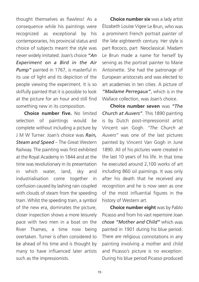thought themselves as flawless! As a consequence while his paintings were recognized as exceptional by his contemporaries, his provincial status and choice of subjects meant the style was never widely imitated. Joan's choice *"An Experiment on a Bird in the Air Pump"* painted in 1767, is masterful in its use of light and its depiction of the people viewing the experiment. It is so skilfully painted that it is possible to look at the picture for an hour and still find something new in its composition.

 **Choice number five.** No limited selection of paintings would be complete without including a picture by J M W Turner. Joan's choice was *Rain, Steam and Speed* – The Great Western Railway. The painting was first exhibited at the Royal Academy in 1844 and at the time was revolutionary in its presentation in which water, land, sky and industrialisation come together in confusion caused by lashing rain coupled with clouds of steam from the speeding train. Whilst the speeding train, a symbol of the new era, dominates the picture, closer inspection shows a more leisurely pace with two men in a boat on the River Thames, a time now being overtaken. Turner is often considered to be ahead of his time and is thought by many to have influenced later artists such as the impressionists.

**Choice number six** was <sup>a</sup> lady artist Élizabeth Louise Vigee Le Brun, who was <sup>a</sup> prominent French portrait painter of the late eighteenth century. Her style is part Rococo, part Neoclassical. Madam Le Brun made <sup>a</sup> name for herself by serving as the portrait painter to Marie Antoinette. She had the patronage of European aristocrats and was elected to art academies in ten cities. A picture of *"Madame Perregaux"*, which is in the Wallace collection, was Joan's choice.

**Choice number seven** was *"The Church at Auvers"*. This 1890 painting is by Dutch post-impressionist artist Vincent van Gogh. *"The Church at Auvers"* was one of the last pictures painted by Vincent Van Gogh in June 1890. All of his pictures were created in the last 10 years of his life. In that time he executed around 2,100 works of art including 860 oil paintings. It was only after his death that he received any recognition and he is now seen as one of the most influential figures in the history of Western art.

**Choice number eight** was by Pablo Picasso and from his vast repertoire Joan *chose "Mother and Child"* which was painted in 1901 during his blue period. There are religious connotations in any painting involving <sup>a</sup> mother and child and Picasso's picture is no exception. During his blue period Picasso produced

15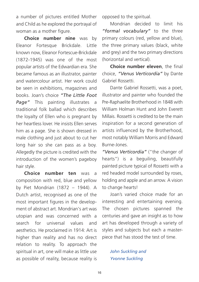a number of pictures entitled Mother and Child as he explored the portrayal of woman as a mother figure.

 **Choice number nine** was by Eleanor Fortesque Brickdale. Little known now, Eleanor Fortescue-Brickdale (1872-1945) was one of the most popular artists of the Edwardian era. She became famous as an illustrator, painter and watercolour artist. Her work could be seen in exhibitions, magazines and books. Joan's choice *"The Little Foot Page"* This painting illustrates a traditional folk ballad which describes the loyalty of Ellen who is pregnant by her heartless lover. He insists Ellen serves him as a page. She is shown dressed in male clothing and just about to cut her long hair so she can pass as a boy. Allegedly the picture is credited with the introduction of the women's pageboy hair style.

 **Choice number ten** was a composition with red, blue and yellow by Piet Mondrian (1872 – 1944). A Dutch artist, recognised as one of the most important figures in the development of abstract art. Mondrian's art was utopian and was concerned with a search for universal values and aesthetics. He proclaimed in 1914: Art is higher than reality and has no direct relation to reality. To approach the spiritual in art, one will make as little use as possible of reality, because reality is

opposed to the spiritual.

 Mondrian decided to limit his *"formal vocabulary"* to the three primary colours (red, yellow and blue), the three primary values (black, white and grey) and the two primary directions (horizontal and vertical).

 **Choice number eleven**, the final choice, *"Venus Verticordia"* by Dante Gabriel Rossetti.

 Dante Gabriel Rossetti, was a poet, illustrator and painter who founded the Pre-Raphaelite Brotherhood in 1848 with William Holman Hunt and John Everett Millais. Rossetti is credited to be the main inspiration for a second generation of artists influenced by the Brotherhood, most notably William Morris and Edward Burne-Jones.

*"Venus Verticordia"* ("the changer of hearts") is a beguiling, beautifully painted picture typical of Rossetti with a red headed model surrounded by roses, holding and apple and an arrow. A vision to change hearts!

 Joan's varied choice made for an interesting and entertaining evening. The chosen pictures spanned the centuries and gave an insight as to how art has developed through a variety of styles and subjects but each a masterpiece that has stood the test of time.

 *John Suckling and Yvonne Suckling*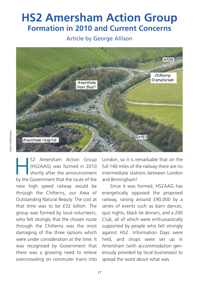### **HS2 Amersham Action Group Formation in 2010 and Current Concerns**

Article by George Allison



S2 Amersham Action Group<br>(HS2AAG) was formed in 2010<br>shortly after the announcement<br>by the Government that the route of the (HS2AAG) was formed in 2010 shortly after the announcement by the Government that the route of the new high speed railway would be through the Chilterns, our Area of Outstanding Natural Beauty. The cost at that time was to be £32 billion. The group was formed by local volunteers, who felt strongly that the chosen route through the Chilterns was the most damaging of the three options which were under consideration at the time. It was recognised by Government that there was a growing need to relieve overcrowding on commuter trains into

London, so it is remarkable that on the full 140 miles of the railway there are no intermediate stations between London and Birmingham!

 Since it was formed, HS2AAG has energetically opposed the proposed railway, raising around £90,000 by a series of events such as barn dances, quiz nights, black tie dinners, and a 200 Club, all of which were enthusiastically supported by people who felt strongly against HS2. Information Days were held, and shops were set up in Amersham (with accommodation generously provided by local businesses) to spread the word about what was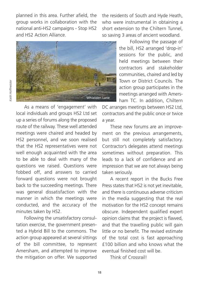planned in this area. Further afield, the group works in collaboration with the national anti-HS2 campaigns - Stop HS2 and HS2 Action Alliance.

the residents of South and Hyde Heath, who were instrumental in obtaining a short extension to the Chiltern Tunnel, so saving 3 areas of ancient woodland.



 As a means of 'engagement' with local individuals and groups HS2 Ltd set up a series of forums along the proposed route of the railway. These well attended meetings were chaired and headed by HS2 personnel, and we soon realised that the HS2 representatives were not well enough acquainted with the area to be able to deal with many of the questions we raised. Questions were fobbed off, and answers to carried forward questions were not brought back to the succeeding meetings. There was general dissatisfaction with the manner in which the meetings were conducted, and the accuracy of the minutes taken by HS2.

 Following the unsatisfactory consultation exercise, the government presented a Hybrid Bill to the commons. The action group appeared at several sittings of the bill committee, to represent Amersham, and attempted to improve the mitigation on offer. We supported

Following the passage of the bill, HS2 arranged 'drop-in' sessions for the public, and held meetings between their contractors and stakeholder communities, chaired and led by Town or District Councils. The action group participates in the meetings arranged with Amersham TC. In addition, Chiltern

DC arranges meetings between HS2 Ltd, contractors and the public once or twice a year.

 These new forums are an improvement on the previous arrangements, but still not completely satisfactory. Contractor's delegates attend meetings sometimes without preparation. This leads to a lack of confidence and an impression that we are not always being taken seriously.

 A recent report in the Bucks Free Press states that HS2 is not yet inevitable, and there is continuous adverse criticism in the media suggesting that the real motivation for the HS2 concept remains obscure. Independent qualified expert opinion claims that the project is flawed, and that the travelling public will gain little or no benefit. The revised estimate of the total cost is fast approaching £100 billion and who knows what the eventual finished cost will be.

Think of Crossrail!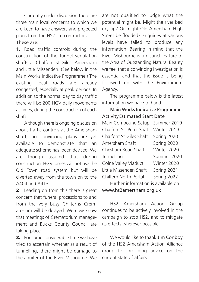Currently under discussion there are three main local concerns to which we are keen to have answers and projected plans from the HS2 Ltd contractors.

#### These are:

**1.** Road traffic controls during the construction of the tunnel ventilation shafts at Chalfont St Giles, Amersham and Little Missenden. (See below in the Main Works Indicative Programme.) The existing local roads are already congested, especially at peak periods. In addition to the normal day to day traffic there will be 200 HGV daily movements at times, during the construction of each shaft.

 Although there is ongoing discussion about traffic controls at the Amersham shaft, no convincing plans are yet available to demonstrate that an adequate scheme has been devised. We are though assured that during construction, HGV lorries will not use the Old Town road system but will be diverted away from the town on to the A404 and A413.

**2** Leading on from this there is great concern that funeral processions to and from the very busy Chilterns Crematorium will be delayed. We now know that meetings of Crematorium management and Bucks County Council are taking place.

**3.** For some considerable time we have tried to ascertain whether as a result of tunnelling, there might be damage to the aquifer of the River Misbourne. We

are not qualified to judge what the potential might be. Might the river bed dry up? Or might Old Amersham High Street be flooded? Enquiries at various levels have failed to produce any information. Bearing in mind that the River Misbourne is a distinct feature of the Area of Outstanding Natural Beauty we feel that a convincing investigation is essential and that the issue is being followed up with the Environment Agency.

 The programme below is the latest information we have to hand.

#### Main Works Indicative Programme. ActivityEstimated Start Date

| Main Compound Setup      | Summer 2019 |
|--------------------------|-------------|
| Chalfont St. Peter Shaft | Winter 2019 |
| Chalfont St Giles Shaft  | Spring 2020 |
| Amersham Shaft           | Spring 2020 |
| Chesham Road Shaft       | Winter 2020 |
| Tunnelling               | Summer 2020 |
| Colne Valley Viaduct     | Winter 2020 |
| Little Missenden Shaft   | Spring 2021 |
| Chiltern North Portal    | Spring 2022 |

 Further information is available on: www.hs2amersham.org.uk

 HS2 Amersham Action Group continues to be actively involved in the campaign to stop HS2, and to mitigate its effects wherever possible.

We would like to thank **Jim Conboy** of the HS2 Amersham Action Alliance group for providing advice on the current state of affairs.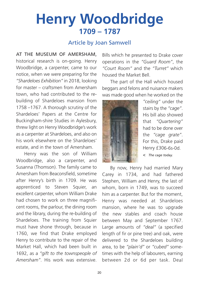### **Henry Woodbridge 1709 – 1787**

#### Article by Joan Samwell

AT THE MUSEUM OF AMERSHAM, historical research is on-going. Henry Woodbridge, a carpenter, came to our notice, when we were preparing for the *"Shardeloes Exhibition"* in 2018, looking for master – craftsmen from Amersham town, who had contributed to the rebuilding of Shardeloes mansion from 1758 –1767. A thorough scrutiny of the Shardeloes' Papers at the Centre for Buckingham-shire Studies in Aylesbury, threw light on Henry Woodbridge's work as a carpenter at Shardeloes, and also on his work elsewhere on the Shardeloes' estate, and in the town of Amersham.

 Henry was the son of William Woodbridge, also a carpenter, and Susanna (Thomson). The family came to Amersham from Beaconsfield, sometime after Henry's birth in 1709. He was apprenticed to Steven Squier, an excellent carpenter, whom William Drake had chosen to work on three magnificent rooms, the parlour, the dining room and the library, during the re-building of Shardeloes. The training from Squier must have shone through, because in 1760, we find that Drake employed Henry to contribute to the repair of the Market Hall, which had been built in 1692, as a *"gift to the townspeople of Amersham"*. His work was extensive.

Bills which he presented to Drake cover operations in the *"Guard Room"*, the *"Court Room"* and the *"Turret"* which housed the Market Bell.

The part of the Hall which housed beggars and felons and nuisance makers was made good when he worked on the



*"ceiling"* under the stairs by the *"cage"*. His bill also showed that *"Quartering"* had to be done over the *"cage grate"*. For this, Drake paid Henry £306-6s-0d. *<sup>&</sup>lt; The cage today.*

By now, Henry had married Mary Carey in 1734, and had fathered Stephen, William and Henry, the last of whom, born in 1749, was to succeed him as <sup>a</sup> carpenter. But for the moment, Henry was needed at Shardeloes mansion, where he was to upgrade the new stables and coach house between May and September 1767. Large amounts of *"deal"* (a specified length of fir or pine tree) and oak, were delivered to the Shardeloes building area, to be *"plain'd"* or *"cubed"* sometimes with the help of labourers, earning between 2d or 6d per task. Deal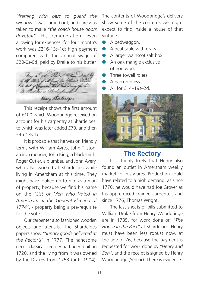*"framing with bars to guard the windows"* was carried out, and care was taken to make *"the coach house doors dovetail"*. His remuneration, even allowing for expences, for four month's work was £216-13s-1d; high payment compared with the annual wage of £20-0s-0d, paid by Drake to his butler.



 This receipt shows the first amount of £100 which Woodbridge received on account for his carpentry at Shardeloes, to which was later added £70, and then £46-13s-1d.

 It is probable that he was on friendly terms with William Ayres, John Tilston, an iron monger, John King, a blacksmith, Roger Cutler, a plumber, and John Avery, who also worked at Shardeloes while living in Amersham at this time. They might have looked up to him as a man of property, because we find his name on the *"List of Men who Voted in Amersham at the General Election of 1774"*, - property being a pre-requisite for the vote.

 Our carpenter also fashioned wooden objects and utensils. The Shardeloes papers show *"Sundry goods delivered at the Rector's"* in 1777. The handsome neo – classical, rectory had been built in 1720, and the living from it was owned by the Drakes from 1753 (until 1904).

The contents of Woodbridge's delivery show some of the contents we might expect to find inside a house of that vintage:-

- $\bullet$  A bedwaggon.
- A deal table with draw.
- A larger wainscot salt box.
- An oak mangle exclusive of iron work.
- Three towell rolers'
- A napkin press.
- l All for £14–19s–2d.



### **The Rectory**

 It is highly likely that Henry also found an outlet in Amersham weekly market for his wares. Production could have related to a high demand, as since 1770, he would have had Joe Grover as his apprenticed trainee carpenter, and since 1776, Thomas Wright.

 The last sheets of bills submitted to William Drake from Henry Woodbridge are in 1785, for work done on *"The House in the Park"* at Shardeloes. Henry must have been less robust now, at the age of 76, because the payment is requested for work done by *"Henry and Son"*, and the receipt is signed by Henry Woodbridge (Senior). There is evidence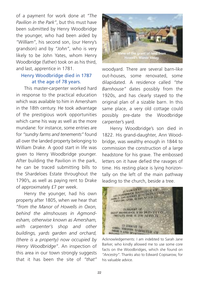of a payment for work done at *"The Pavilion in the Park"*, but this must have been submitted by Henry Woodbridge the younger, who had been aided by *"William"*, his second son, (our Henry's grandson) and by *"John"*, who is very likely to be John Yates, whom Henry Woodbridge (father) took on as his third, and last, apprentice in 1781.

#### Henry Woodbridge died in 1787 at the age of 78 years.

 This master-carpenter worked hard in response to the practical education which was available to him in Amersham in the 18th century. He took advantage of the prestigious work opportunities which came his way as well as the more mundane: for instance, some entries are for *"sundry farms and tenements"* found all over the landed property belonging to William Drake. A good start in life was given to Henry Woodbridge younger. After building the Pavilion in the park, he can be traced submitting bills to the Shardeloes Estate throughout the 1790's, as well as paying rent to Drake of approximately £7 per week.

 Henry the younger, had his own property after 1805, when we hear that *"from the Manor of Howells in Oxon, behind the almshouses in Agmondesham, otherwise known as Amersham, with carpenter's shop and other buildings, yards garden and orchard, (there is a property) now occupied by Henry Woodbridge"*. An inspection of this area in our town strongly suggests that it has been the site of *"that"*



woodyard. There are several barn-like out-houses, some renovated, some dilapidated. A residence called *"the Barnhouse"* dates possibly from the 1920s, and has clearly stayed to the original plan of a sizable barn. In this same place, a very old cottage could possibly pre-date the Woodbridge carpenter's yard.

 Henry Woodbridge's son died in 1822. His grand-daughter, Ann Woodbridge, was wealthy enough in 1844 to commission the construction of a large headstone for his grave. The embossed letters on it have defied the ravages of time. His resting place is lying horizontally on the left of the main pathway



Acknowledgements: I am indebted to Sarah Jane Barker, who kindly allowed me to use some core facts on the Woodbridges, which she found on *"Ancestry"*. Thanks also to Edward Copisarow, for his valuable advice.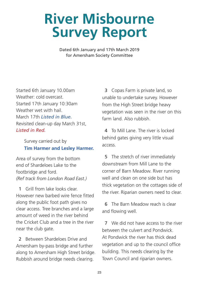# **River Misbourne Survey Report**

Dated 6th January and 17th March 2019 for Amersham Society Committee

Started 6th January 10.00am Weather: cold overcast. Started 17th January 10:30am Weather wet with hail March 17th *Listed in Blue.* Revisited clean-up day March 31st, *Listed in Red.*

> Survey carried out by **Tim Harmer and Lesley Harmer.**

Area of survey from the bottom end of Shardeloes Lake to the footbridge and ford. *(Ref track from London Road East.)*

1 Grill from lake looks clear. However new barbed wire fence fitted along the public foot path gives no clear access. Tree branches and a large amount of weed in the river behind the Cricket Club and a tree in the river near the club gate.

2 Between Shardeloes Drive and Amersham by-pass bridge and further along to Amersham High Street bridge. Rubbish around bridge needs clearing.

3 Copas Farm is private land, so unable to undertake survey. However from the High Street bridge heavy vegetation was seen in the river on this farm land. Also rubbish.

4 To Mill Lane. The river is locked behind gates giving very little visual access.

5 The stretch of river immediately downstream from Mill Lane to the corner of Barn Meadow. River running well and clean on one side but has thick vegetation on the cottages side of the river. Riparian owners need to clear.

6 The Barn Meadow reach is clear and flowing well.

7 We did not have access to the river between the culvert and Pondwick. At Pondwick the river has thick dead vegetation and up to the council office building. This needs clearing by the Town Council and riparian owners.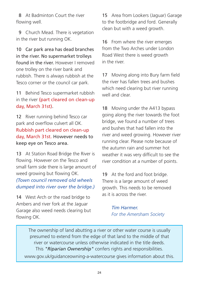8 At Badminton Court the river flowing well.

9 Church Mead. There is vegetation in the river but running OK.

10 Car park area has dead branches in the river. No supermarket trolleys found in the river. However I removed one trolley on the river bank and rubbish. There is always rubbish at the Tesco corner or the council car park.

11 Behind Tesco supermarket rubbish in the river (part cleared on clean-up day, March 31st).

12 River running behind Tesco car park and overflow culvert all OK. Rubbish part cleared on clean-up day, March 31st. However needs to keep eye on Tesco area.

13 At Station Road Bridge the River is flowing. However on the Tesco and small farm side there is large amount of weed growing but flowing OK.

*(Town council removed old wheels dumped into river over the bridge.)*

14 West Arch or the road bridge to Ambers and river fork at the Jaguar Garage also weed needs clearing but flowing OK.

15 Area from Lookers (Jaguar) Garage to the footbridge and ford. Generally clean but with a weed growth.

16 From where the river emerges from the Two Arches under London Road West there is weed growth in the river.

17 Moving along into Bury farm field the river has fallen trees and bushes which need clearing but river running well and clear.

18 Moving under the A413 bypass going along the river towards the foot bridge, we found a number of trees and bushes that had fallen into the river and weed growing. However river running clear. Please note because of the autumn rain and summer hot weather it was very difficult to see the river condition at a number of points.

19 At the ford and foot bridge. There is a large amount of weed growth. This needs to be removed as it is across the river.

> *Tim Harmer. For the Amersham Society*

The ownership of land abutting a river or other water course is usually presumed to extend from the edge of that land to the middle of that river or watercourse unless otherwise indicated in the title deeds. This *"Riparian Ownership"* confers rights and responsibilities.

www.gov.uk/guidanceowning-a-watercourse gives information about this.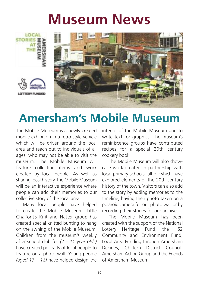# **Museum News**



# **Amersham's Mobile Museum**

The Mobile Museum is a newly created mobile exhibition in a retro-style vehicle which will be driven around the local area and reach out to individuals of all ages, who may not be able to visit the museum. The Mobile Museum will feature collection items and work created by local people. As well as sharing local history, the Mobile Museum will be an interactive experience where people can add their memories to our collective story of the local area.

 Many local people have helped to create the Mobile Museum. Little Chalfont's Knit and Natter group has created special knitted bunting to hang on the awning of the Mobile Museum. Children from the museum's weekly after-school club for *(7 – 11 year olds)* have created portraits of local people to feature on a photo wall. Young people *(aged 13 – 18)* have helped design the interior of the Mobile Museum and to write text for graphics. The museum's reminiscence groups have contributed recipes for a special 20th century cookery book.

 The Mobile Museum will also showcase work created in partnership with local primary schools, all of which have explored elements of the 20th century history of the town. Visitors can also add to the story by adding memories to the timeline, having their photo taken on a polaroid camera for our photo wall or by recording their stories for our archive.

 The Mobile Museum has been created with the support of the National Lottery Heritage Fund, the HS2 Community and Environment Fund, Local Area Funding through Amersham Decides, Chiltern District Council, Amersham Action Group and the Friends of Amersham Museum.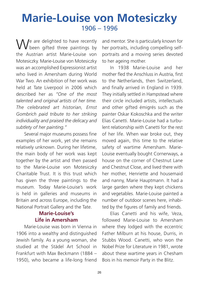### **Marie-Louise von Motesiczky** 1906 – 1996

We are delighted to have recently<br>been gifted three paintings by the Austrian artist Marie-Louise von Motesiczky. Marie-Louise von Motesiczky was an accomplished Expressionist artist who lived in Amersham during World War Two. An exhibition of her work was held at Tate Liverpool in 2006 which described her as *"One of the most talented and original artists of her time. The celebrated art historian, Ernst Gombrich paid tribute to her striking individuality and praised the delicacy and subtlety of her painting."*

 examples of her work, yet she remains Several major museums possess fine relatively unknown. During her lifetime, the main body of her work was kept together by the artist and then passed to the Marie-Louise von Motesiczky Charitable Trust. It is this trust which has given the three paintings to the museum. Today Marie-Louise's work is held in galleries and museums in Britain and across Europe, including the National Portrait Gallery and the Tate.

#### **Marie-Louise's Life in Amersham**

 Marie-Louise was born in Vienna in 1906 into a wealthy and distinguished Jewish family. As a young woman, she studied at the Städel Art School in Frankfurt with Max Beckmann (1884 – 1950), who became a life-long friend and mentor. She is particularly known for her portraits, including compelling selfportraits and a moving series devoted to her ageing mother.

 In 1938 Marie-Louise and her mother fled the Anschluss in Austria, first to the Netherlands, then Switzerland, and finally arrived in England in 1939. They initially settled in Hampstead where their circle included artists, intellectuals and other gifted émigrés such as the painter Oskar Kokoschka and the writer Elias Canetti. Marie-Louise had a turbulent relationship with Canetti for the rest of her life. When war broke out, they moved again, this time to the relative safety of wartime Amersham. Marie-Louise eventually bought Cornerways, a house on the corner of Chestnut Lane and Chestnut Close, and lived there with her mother, Henriette and housemaid and nanny, Marie Hauptmann. It had a large garden where they kept chickens and vegetables. Marie-Louise painted a number of outdoor scenes here, inhabited by the figures of family and friends.

 Elias Canetti and his wife, Veza, followed Marie-Louise to Amersham where they lodged with the eccentric Father Milburn at his house, Durris, in Stubbs Wood. Canetti, who won the Nobel Prize for Literature in 1981, wrote about these wartime years in Chesham Bois in his memoir Party in the Blitz.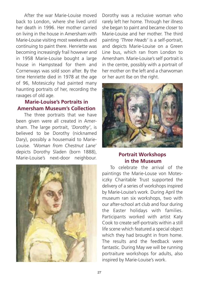After the war Marie-Louise moved back to London, where she lived until her death in 1996. Her mother carried on living in the house in Amersham with Marie-Louise visiting most weekends and continuing to paint there. Henriette was becoming increasingly frail however and in 1958 Marie-Louise bought a large house in Hampstead for them and Cornerways was sold soon after. By the time Henriette died in 1978 at the age of 96, Motesiczky had painted many haunting portraits of her, recording the ravages of old age.

#### **Marie-Louise's Portraits in Amersham Museum's Collection**

 The three portraits that we have been given were all created in Amersham. The large portrait, *'Dorothy'*, is believed to be Dorothy (nicknamed Dary), possibly a housemaid to Marie-Louise. *'Woman from Chestnut Lane*' depicts Dorothy Sladen (born 1888), Marie-Louise's next-door neighbour. **Portrait Workshops**



Dorothy was a reclusive woman who rarely left her home. Through her illness she began to paint and became closer to Marie-Louise and her mother. The third painting *'Three Heads'* is a self-portrait, and depicts Marie-Louise on a Green Line bus, which ran from London to Amersham. Marie-Louise's self portrait is in the centre, possibly with a portrait of her mother on the left and a charwoman or her aunt Ilse on the right.



### **in the Museum**

 To celebrate the arrival of the paintings the Marie-Louse von Motesiczky Charitable Trust supported the delivery of a series of workshops inspired by Marie-Louise's work. During April the museum ran six workshops, two with our after-school art club and four during the Easter holidays with families. Participants worked with artist Katy Cook to create self-portraits within a still life scene which featured a special object which they had brought in from home. The results and the feedback were fantastic. During May we will be running portraiture workshops for adults, also inspired by Marie-Louise's work.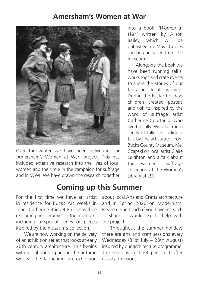### **Amersham's Women at War**



Over the winter we have been delivering our 'Amersham's Women at War' project. This has included extensive research into the lives of local women and their role in the campaign for suffrage and in WWI. We have drawn the research together

into a book, *'Women at War'* written by Alison Bailey, which will be published in May. Copies can be purchased from the museum.

 Alongside the book we have been running talks, workshops and crate events to share the stories of our fantastic local women. During the Easter holidays children created posters and t-shirts inspired by the work of suffrage artist Catherine Courtauld, who lived locally. We also ran a series of talks, including a talk by fine art curator from Bucks County Museum, Mel Czapski on local artist Claire Leighton and a talk about the women's suffrage collection at the Women's Library at LSE.

### **Coming up this Summer**

For the first time we have an artist in residence for Bucks Art Weeks in June. Catherine Bridget-Phillips will be exhibiting her ceramics in the museum, including a special series of pieces inspired by the museum's collection.

We are now working on the delivery of an exhibition series that looks at early 20th century architecture. This begins with social housing and in the autumn we will be launching an exhibition about local Arts and Crafts architecture and in Spring 2020 on Modernism. Please get in touch if you have research to share or would like to help with the project.

 Throughout the summer holidays there are arts and craft sessions every Wednesday (31st July – 28th August) inspired by our architecture programme. The sessions cost £3 per child after usual admissions.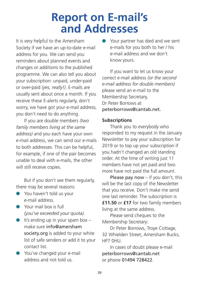### **Report on E-mail's and Addresses**

It is very helpful to the Amersham Society if we have an up-to-date e-mail address for you. We can send you reminders about planned events and changes or additions to the published programme. We can also tell you about your subscription: unpaid, under-paid or over-paid *(yes, really!)*. E-mails are usually sent about once a month. If you receive these E-alerts regularly, don't worry, we have got your e-mail address, you don't need to do anything.

 If you are double members *(two family members living at the same address)* and you each have your own e-mail address, we can send our e-mails to both addresses. This can be helpful, for example, if one of the pair becomes unable to deal with e-mails, the other will still receive copies.

 But if you don't see them regularly, there may be several reasons:

- l You haven't told us your e-mail address.
- **Provident** Your mail box is full *(you've exceeded your quota).*
- $\bullet$  It's ending up in your spam box make sure info@amersham society.org is added to your white list of safe senders or add it to your contact list.
- You've changed your e-mail address and not told us.

Your partner has died and we sent e-mails for you both to her / his e-mail address and we don't know yours.

 If you want to let us know your correct e-mail address *(or the second e-mail address for double members)* please send an e-mail to the Membership Secretary, Dr Peter Borrows at peterborrows@cantab.net.

#### **Subscriptions**

Thank you to everybody who responded to my request in the January Newsletter to pay your subscription for 2019 or to top up your subscription if you hadn't changed an old standing order. At the time of writing just 11 members have not yet paid and two more have not paid the full amount.

Please pay now – if you don't, this will be the last copy of the Newsletter that you receive. Don't make me send one last reminder. The subscription is **£11.50** or **£17** for two family members living at the same address.

 Please send cheques to the Membership Secretary:

 Dr Peter Borrows, Troye Cottage, 32 Whielden Street, Amersham Bucks, HP7 0HU.

 In cases of doubt please e-mail peterborrows@cantab.net or phone 01494 728422.